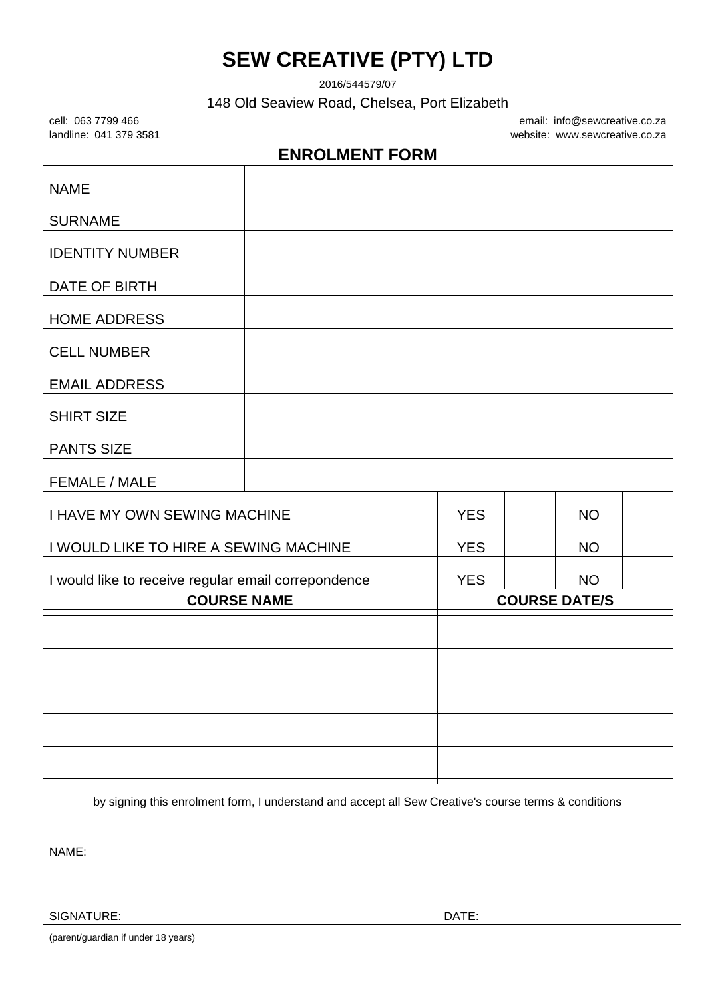## **SEW CREATIVE (PTY) LTD**

2016/544579/07

148 Old Seaview Road, Chelsea, Port Elizabeth

cell: 063 7799 466 email: info@sewcreative.co.za landline: 041 379 3581 website: www.sewcreative.co.za

## **ENROLMENT FORM**

| <b>NAME</b>                                         |  |            |                      |  |
|-----------------------------------------------------|--|------------|----------------------|--|
| <b>SURNAME</b>                                      |  |            |                      |  |
| <b>IDENTITY NUMBER</b>                              |  |            |                      |  |
| DATE OF BIRTH                                       |  |            |                      |  |
| <b>HOME ADDRESS</b>                                 |  |            |                      |  |
| <b>CELL NUMBER</b>                                  |  |            |                      |  |
| <b>EMAIL ADDRESS</b>                                |  |            |                      |  |
| <b>SHIRT SIZE</b>                                   |  |            |                      |  |
| <b>PANTS SIZE</b>                                   |  |            |                      |  |
| FEMALE / MALE                                       |  |            |                      |  |
| <b>I HAVE MY OWN SEWING MACHINE</b>                 |  | <b>YES</b> | <b>NO</b>            |  |
| I WOULD LIKE TO HIRE A SEWING MACHINE               |  | <b>YES</b> | <b>NO</b>            |  |
| I would like to receive regular email correpondence |  | <b>YES</b> | <b>NO</b>            |  |
| <b>COURSE NAME</b>                                  |  |            | <b>COURSE DATE/S</b> |  |
|                                                     |  |            |                      |  |
|                                                     |  |            |                      |  |
|                                                     |  |            |                      |  |
|                                                     |  |            |                      |  |
|                                                     |  |            |                      |  |

by signing this enrolment form, I understand and accept all Sew Creative's course terms & conditions

NAME:

SIGNATURE: DATE: